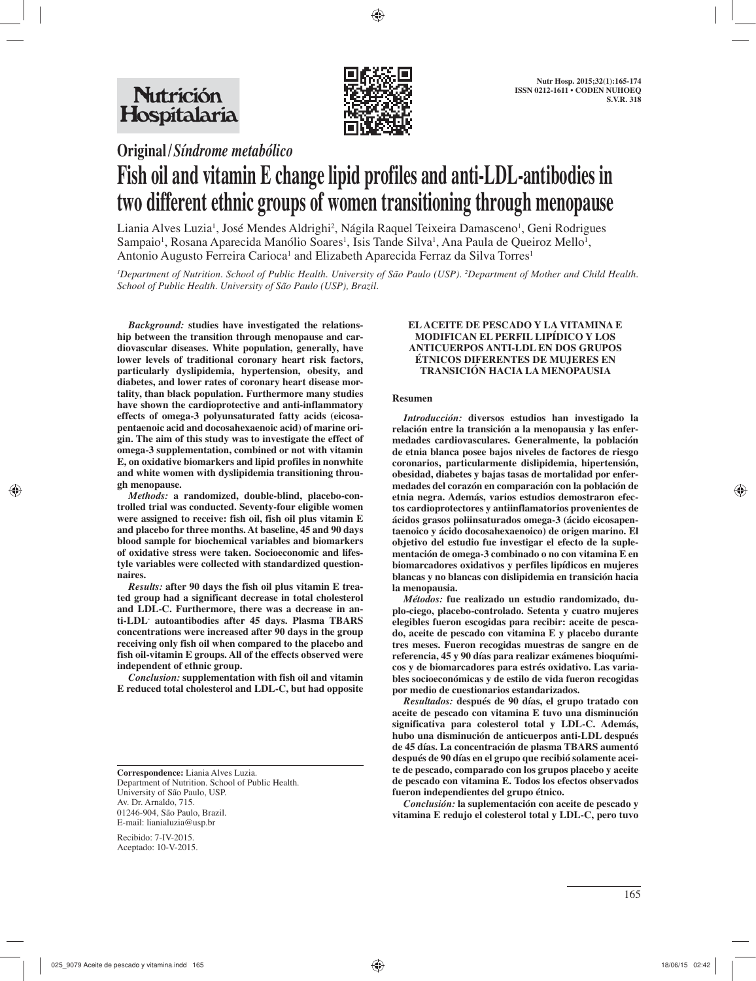

**Original /** *Síndrome metabólico*

# **Fish oil and vitamin E change lipid profiles and anti-LDL-antibodies in two different ethnic groups of women transitioning through menopause**

Liania Alves Luzia<sup>1</sup>, José Mendes Aldrighi<sup>2</sup>, Nágila Raquel Teixeira Damasceno<sup>1</sup>, Geni Rodrigues Sampaio<sup>1</sup>, Rosana Aparecida Manólio Soares<sup>1</sup>, Isis Tande Silva<sup>1</sup>, Ana Paula de Queiroz Mello<sup>1</sup>, Antonio Augusto Ferreira Carioca<sup>1</sup> and Elizabeth Aparecida Ferraz da Silva Torres<sup>1</sup>

*1 Department of Nutrition. School of Public Health. University of São Paulo (USP). 2 Department of Mother and Child Health. School of Public Health. University of São Paulo (USP), Brazil.*

*Background:* **studies have investigated the relationship between the transition through menopause and cardiovascular diseases. White population, generally, have lower levels of traditional coronary heart risk factors, particularly dyslipidemia, hypertension, obesity, and diabetes, and lower rates of coronary heart disease mortality, than black population. Furthermore many studies have shown the cardioprotective and anti-inflammatory effects of omega-3 polyunsaturated fatty acids (eicosapentaenoic acid and docosahexaenoic acid) of marine origin. The aim of this study was to investigate the effect of omega-3 supplementation, combined or not with vitamin E, on oxidative biomarkers and lipid profiles in nonwhite and white women with dyslipidemia transitioning through menopause.**

*Methods:* **a randomized, double-blind, placebo-controlled trial was conducted. Seventy-four eligible women were assigned to receive: fish oil, fish oil plus vitamin E and placebo for three months. At baseline, 45 and 90 days blood sample for biochemical variables and biomarkers of oxidative stress were taken. Socioeconomic and lifestyle variables were collected with standardized questionnaires.**

*Results:* **after 90 days the fish oil plus vitamin E treated group had a significant decrease in total cholesterol and LDL-C. Furthermore, there was a decrease in anti-LDL- autoantibodies after 45 days. Plasma TBARS concentrations were increased after 90 days in the group receiving only fish oil when compared to the placebo and fish oil-vitamin E groups. All of the effects observed were independent of ethnic group.**

*Conclusion:* **supplementation with fish oil and vitamin E reduced total cholesterol and LDL-C, but had opposite** 

Recibido: 7-IV-2015. Aceptado: 10-V-2015.

#### **EL ACEITE DE PESCADO Y LA VITAMINA E MODIFICAN EL PERFIL LIPÍDICO Y LOS ANTICUERPOS ANTI-LDL EN DOS GRUPOS ÉTNICOS DIFERENTES DE MUJERES EN TRANSICIÓN HACIA LA MENOPAUSIA**

#### **Resumen**

*Introducción:* **diversos estudios han investigado la relación entre la transición a la menopausia y las enfermedades cardiovasculares. Generalmente, la población de etnia blanca posee bajos niveles de factores de riesgo coronarios, particularmente dislipidemia, hipertensión, obesidad, diabetes y bajas tasas de mortalidad por enfermedades del corazón en comparación con la población de etnia negra. Además, varios estudios demostraron efectos cardioprotectores y antiinflamatorios provenientes de ácidos grasos poliinsaturados omega-3 (ácido eicosapentaenoico y ácido docosahexaenoico) de origen marino. El objetivo del estudio fue investigar el efecto de la suplementación de omega-3 combinado o no con vitamina E en biomarcadores oxidativos y perfiles lipídicos en mujeres blancas y no blancas con dislipidemia en transición hacia la menopausia.**

*Métodos:* **fue realizado un estudio randomizado, duplo-ciego, placebo-controlado. Setenta y cuatro mujeres elegibles fueron escogidas para recibir: aceite de pescado, aceite de pescado con vitamina E y placebo durante tres meses. Fueron recogidas muestras de sangre en de referencia, 45 y 90 días para realizar exámenes bioquímicos y de biomarcadores para estrés oxidativo. Las variables socioeconómicas y de estilo de vida fueron recogidas por medio de cuestionarios estandarizados.**

*Resultados:* **después de 90 días, el grupo tratado con aceite de pescado con vitamina E tuvo una disminución significativa para colesterol total y LDL-C. Además, hubo una disminución de anticuerpos anti-LDL después de 45 días. La concentración de plasma TBARS aumentó después de 90 días en el grupo que recibió solamente aceite de pescado, comparado con los grupos placebo y aceite de pescado con vitamina E. Todos los efectos observados fueron independientes del grupo étnico.**

*Conclusión:* **la suplementación con aceite de pescado y vitamina E redujo el colesterol total y LDL-C, pero tuvo** 

**Correspondence:** Liania Alves Luzia. Department of Nutrition. School of Public Health. University of São Paulo, USP. Av. Dr. Arnaldo, 715. 01246-904, São Paulo, Brazil. E-mail: lianialuzia@usp.br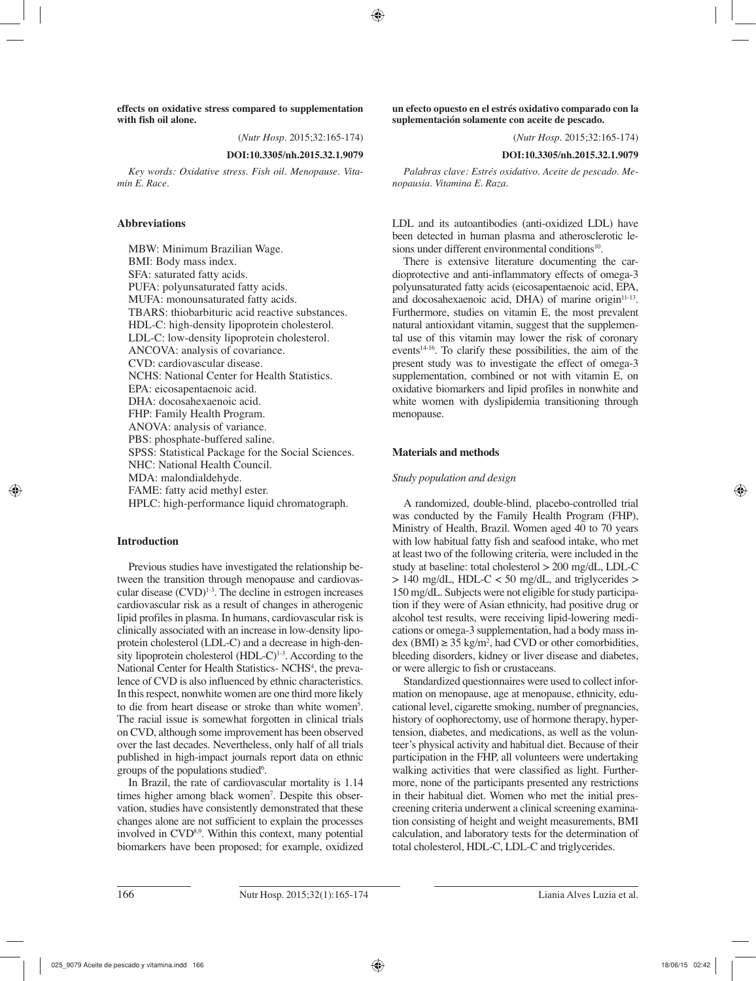**effects on oxidative stress compared to supplementation with fish oil alone.** 

(*Nutr Hosp.* 2015;32:165-174)

#### **DOI:10.3305/nh.2015.32.1.9079**

*Key words: Oxidative stress. Fish oil. Menopause. Vitamin E. Race.*

## **Abbreviations**

MBW: Minimum Brazilian Wage. BMI: Body mass index. SFA: saturated fatty acids. PUFA: polyunsaturated fatty acids. MUFA: monounsaturated fatty acids. TBARS: thiobarbituric acid reactive substances. HDL-C: high-density lipoprotein cholesterol. LDL-C: low-density lipoprotein cholesterol. ANCOVA: analysis of covariance. CVD: cardiovascular disease. NCHS: National Center for Health Statistics. EPA: eicosapentaenoic acid. DHA: docosahexaenoic acid. FHP: Family Health Program. ANOVA: analysis of variance. PBS: phosphate-buffered saline. SPSS: Statistical Package for the Social Sciences. NHC: National Health Council. MDA: malondialdehyde. FAME: fatty acid methyl ester. HPLC: high-performance liquid chromatograph.

## **Introduction**

Previous studies have investigated the relationship between the transition through menopause and cardiovascular disease (CVD)<sup>1-3</sup>. The decline in estrogen increases cardiovascular risk as a result of changes in atherogenic lipid profiles in plasma. In humans, cardiovascular risk is clinically associated with an increase in low-density lipoprotein cholesterol (LDL-C) and a decrease in high-density lipoprotein cholesterol  $(HDL-C)^{1-3}$ . According to the National Center for Health Statistics- NCHS<sup>4</sup>, the prevalence of CVD is also influenced by ethnic characteristics. In this respect, nonwhite women are one third more likely to die from heart disease or stroke than white women<sup>5</sup>. The racial issue is somewhat forgotten in clinical trials on CVD, although some improvement has been observed over the last decades. Nevertheless, only half of all trials published in high-impact journals report data on ethnic groups of the populations studied<sup>6</sup>.

In Brazil, the rate of cardiovascular mortality is 1.14 times higher among black women<sup>7</sup>. Despite this observation, studies have consistently demonstrated that these changes alone are not sufficient to explain the processes involved in CVD<sup>8,9</sup>. Within this context, many potential biomarkers have been proposed; for example, oxidized **un efecto opuesto en el estrés oxidativo comparado con la suplementación solamente con aceite de pescado.** 

(*Nutr Hosp.* 2015;32:165-174)

#### **DOI:10.3305/nh.2015.32.1.9079**

*Palabras clave: Estrés oxidativo. Aceite de pescado. Menopausia. Vitamina E. Raza.*

LDL and its autoantibodies (anti-oxidized LDL) have been detected in human plasma and atherosclerotic lesions under different environmental conditions<sup>10</sup>.

There is extensive literature documenting the cardioprotective and anti-inflammatory effects of omega-3 polyunsaturated fatty acids (eicosapentaenoic acid, EPA, and docosahexaenoic acid, DHA) of marine origin $11-13$ . Furthermore, studies on vitamin E, the most prevalent natural antioxidant vitamin, suggest that the supplemental use of this vitamin may lower the risk of coronary events $14-16$ . To clarify these possibilities, the aim of the present study was to investigate the effect of omega-3 supplementation, combined or not with vitamin E, on oxidative biomarkers and lipid profiles in nonwhite and white women with dyslipidemia transitioning through menopause.

# **Materials and methods**

## *Study population and design*

A randomized, double-blind, placebo-controlled trial was conducted by the Family Health Program (FHP), Ministry of Health, Brazil. Women aged 40 to 70 years with low habitual fatty fish and seafood intake, who met at least two of the following criteria, were included in the study at baseline: total cholesterol > 200 mg/dL, LDL-C  $> 140$  mg/dL, HDL-C < 50 mg/dL, and triglycerides  $>$ 150 mg/dL. Subjects were not eligible for study participation if they were of Asian ethnicity, had positive drug or alcohol test results, were receiving lipid-lowering medications or omega-3 supplementation, had a body mass in- $\text{dex}$  (BMI)  $\geq 35 \text{ kg/m}^2$ , had CVD or other comorbidities, bleeding disorders, kidney or liver disease and diabetes, or were allergic to fish or crustaceans.

Standardized questionnaires were used to collect information on menopause, age at menopause, ethnicity, educational level, cigarette smoking, number of pregnancies, history of oophorectomy, use of hormone therapy, hypertension, diabetes, and medications, as well as the volunteer's physical activity and habitual diet. Because of their participation in the FHP, all volunteers were undertaking walking activities that were classified as light. Furthermore, none of the participants presented any restrictions in their habitual diet. Women who met the initial prescreening criteria underwent a clinical screening examination consisting of height and weight measurements, BMI calculation, and laboratory tests for the determination of total cholesterol, HDL-C, LDL-C and triglycerides.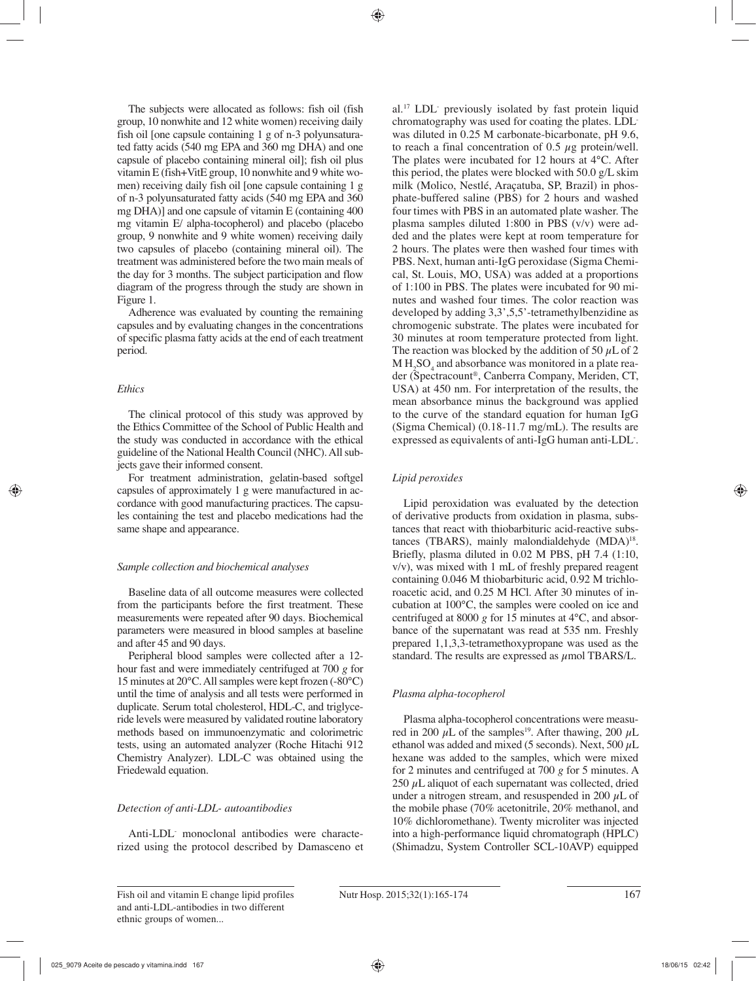The subjects were allocated as follows: fish oil (fish group, 10 nonwhite and 12 white women) receiving daily fish oil [one capsule containing 1 g of n-3 polyunsaturated fatty acids (540 mg EPA and 360 mg DHA) and one capsule of placebo containing mineral oil]; fish oil plus vitamin E (fish+VitE group, 10 nonwhite and 9 white women) receiving daily fish oil [one capsule containing 1 g of n-3 polyunsaturated fatty acids (540 mg EPA and 360 mg DHA)] and one capsule of vitamin E (containing 400 mg vitamin E/ alpha-tocopherol) and placebo (placebo group, 9 nonwhite and 9 white women) receiving daily two capsules of placebo (containing mineral oil). The treatment was administered before the two main meals of the day for 3 months. The subject participation and flow diagram of the progress through the study are shown in Figure 1.

Adherence was evaluated by counting the remaining capsules and by evaluating changes in the concentrations of specific plasma fatty acids at the end of each treatment period.

## *Ethics*

The clinical protocol of this study was approved by the Ethics Committee of the School of Public Health and the study was conducted in accordance with the ethical guideline of the National Health Council (NHC). All subjects gave their informed consent.

For treatment administration, gelatin-based softgel capsules of approximately 1 g were manufactured in accordance with good manufacturing practices. The capsules containing the test and placebo medications had the same shape and appearance.

# *Sample collection and biochemical analyses*

Baseline data of all outcome measures were collected from the participants before the first treatment. These measurements were repeated after 90 days. Biochemical parameters were measured in blood samples at baseline and after 45 and 90 days.

Peripheral blood samples were collected after a 12 hour fast and were immediately centrifuged at 700 *g* for 15 minutes at 20°C. All samples were kept frozen (-80°C) until the time of analysis and all tests were performed in duplicate. Serum total cholesterol, HDL-C, and triglyceride levels were measured by validated routine laboratory methods based on immunoenzymatic and colorimetric tests, using an automated analyzer (Roche Hitachi 912 Chemistry Analyzer). LDL-C was obtained using the Friedewald equation.

# *Detection of anti-LDL- autoantibodies*

Anti-LDL- monoclonal antibodies were characterized using the protocol described by Damasceno et

al.<sup>17</sup> LDL previously isolated by fast protein liquid chromatography was used for coating the plates. LDLwas diluted in 0.25 M carbonate-bicarbonate, pH 9.6, to reach a final concentration of  $0.5 \mu$ g protein/well. The plates were incubated for 12 hours at 4°C. After this period, the plates were blocked with 50.0 g/L skim milk (Molico, Nestlé, Araçatuba, SP, Brazil) in phosphate-buffered saline (PBS) for 2 hours and washed four times with PBS in an automated plate washer. The plasma samples diluted 1:800 in PBS (v/v) were added and the plates were kept at room temperature for 2 hours. The plates were then washed four times with PBS. Next, human anti-IgG peroxidase (Sigma Chemical, St. Louis, MO, USA) was added at a proportions of 1:100 in PBS. The plates were incubated for 90 minutes and washed four times. The color reaction was developed by adding 3,3',5,5'-tetramethylbenzidine as chromogenic substrate. The plates were incubated for 30 minutes at room temperature protected from light. The reaction was blocked by the addition of 50  $\mu$ L of 2  $M H_2SO_4$  and absorbance was monitored in a plate reader (Spectracount®, Canberra Company, Meriden, CT, USA) at 450 nm. For interpretation of the results, the mean absorbance minus the background was applied to the curve of the standard equation for human IgG (Sigma Chemical) (0.18-11.7 mg/mL). The results are expressed as equivalents of anti-IgG human anti-LDL- .

# *Lipid peroxides*

Lipid peroxidation was evaluated by the detection of derivative products from oxidation in plasma, substances that react with thiobarbituric acid-reactive substances (TBARS), mainly malondialdehyde (MDA)<sup>18</sup>. Briefly, plasma diluted in 0.02 M PBS, pH 7.4 (1:10, v/v), was mixed with 1 mL of freshly prepared reagent containing 0.046 M thiobarbituric acid, 0.92 M trichloroacetic acid, and 0.25 M HCl. After 30 minutes of incubation at 100°C, the samples were cooled on ice and centrifuged at 8000  $g$  for 15 minutes at 4 $\degree$ C, and absorbance of the supernatant was read at 535 nm. Freshly prepared 1,1,3,3-tetramethoxypropane was used as the standard. The results are expressed as  $\mu$ mol TBARS/L.

# *Plasma alpha-tocopherol*

Plasma alpha-tocopherol concentrations were measured in 200  $\mu$ L of the samples<sup>19</sup>. After thawing, 200  $\mu$ L ethanol was added and mixed (5 seconds). Next, 500  $\mu$ L hexane was added to the samples, which were mixed for 2 minutes and centrifuged at 700 *g* for 5 minutes. A 250  $\mu$ L aliquot of each supernatant was collected, dried under a nitrogen stream, and resuspended in 200  $\mu$ L of the mobile phase (70% acetonitrile, 20% methanol, and 10% dichloromethane). Twenty microliter was injected into a high-performance liquid chromatograph (HPLC) (Shimadzu, System Controller SCL-10AVP) equipped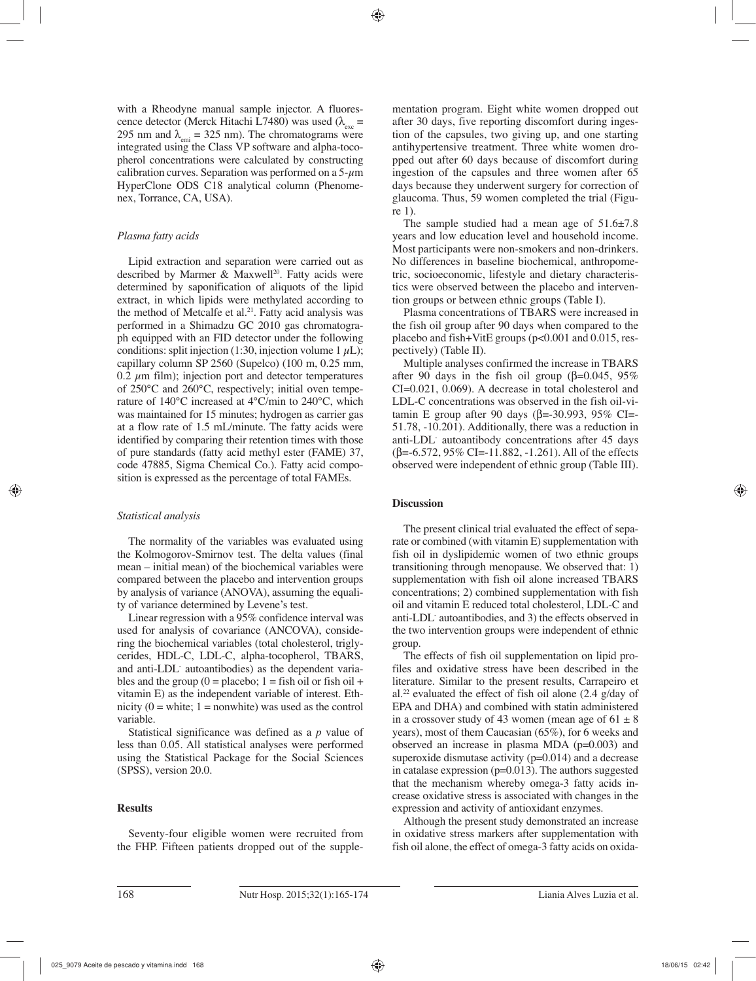with a Rheodyne manual sample injector. A fluorescence detector (Merck Hitachi L7480) was used ( $\lambda_{\text{max}}$  = 295 nm and  $\lambda_{\text{emi}} = 325$  nm). The chromatograms were integrated using the Class VP software and alpha-tocopherol concentrations were calculated by constructing calibration curves. Separation was performed on a  $5-\mu m$ HyperClone ODS C18 analytical column (Phenomenex, Torrance, CA, USA).

## *Plasma fatty acids*

Lipid extraction and separation were carried out as described by Marmer  $\&$  Maxwell<sup>20</sup>. Fatty acids were determined by saponification of aliquots of the lipid extract, in which lipids were methylated according to the method of Metcalfe et al.<sup>21</sup>. Fatty acid analysis was performed in a Shimadzu GC 2010 gas chromatograph equipped with an FID detector under the following conditions: split injection (1:30, injection volume 1  $\mu$ L); capillary column SP 2560 (Supelco) (100 m, 0.25 mm,  $0.2 \mu$ m film); injection port and detector temperatures of 250°C and 260°C, respectively; initial oven temperature of 140°C increased at 4°C/min to 240°C, which was maintained for 15 minutes; hydrogen as carrier gas at a flow rate of 1.5 mL/minute. The fatty acids were identified by comparing their retention times with those of pure standards (fatty acid methyl ester (FAME) 37, code 47885, Sigma Chemical Co.). Fatty acid composition is expressed as the percentage of total FAMEs.

## *Statistical analysis*

The normality of the variables was evaluated using the Kolmogorov-Smirnov test. The delta values (final mean – initial mean) of the biochemical variables were compared between the placebo and intervention groups by analysis of variance (ANOVA), assuming the equality of variance determined by Levene's test.

Linear regression with a 95% confidence interval was used for analysis of covariance (ANCOVA), considering the biochemical variables (total cholesterol, triglycerides, HDL-C, LDL-C, alpha-tocopherol, TBARS, and anti-LDL- autoantibodies) as the dependent variables and the group  $(0 =$  placebo;  $1 =$  fish oil or fish oil + vitamin E) as the independent variable of interest. Ethnicity  $(0 = \text{white}; 1 = \text{nonwhite})$  was used as the control variable.

Statistical significance was defined as a *p* value of less than 0.05. All statistical analyses were performed using the Statistical Package for the Social Sciences (SPSS), version 20.0.

# **Results**

Seventy-four eligible women were recruited from the FHP. Fifteen patients dropped out of the supple-

mentation program. Eight white women dropped out after 30 days, five reporting discomfort during ingestion of the capsules, two giving up, and one starting antihypertensive treatment. Three white women dropped out after 60 days because of discomfort during ingestion of the capsules and three women after 65 days because they underwent surgery for correction of glaucoma. Thus, 59 women completed the trial (Figure 1).

The sample studied had a mean age of  $51.6\pm7.8$ years and low education level and household income. Most participants were non-smokers and non-drinkers. No differences in baseline biochemical, anthropometric, socioeconomic, lifestyle and dietary characteristics were observed between the placebo and intervention groups or between ethnic groups (Table I).

Plasma concentrations of TBARS were increased in the fish oil group after 90 days when compared to the placebo and fish+VitE groups  $(p<0.001$  and  $0.015$ , respectively) (Table II).

Multiple analyses confirmed the increase in TBARS after 90 days in the fish oil group ( $\beta$ =0.045, 95%) CI=0.021, 0.069). A decrease in total cholesterol and LDL-C concentrations was observed in the fish oil-vitamin E group after 90 days ( $β = -30.993$ , 95% CI=-51.78, -10.201). Additionally, there was a reduction in anti-LDL- autoantibody concentrations after 45 days (β=-6.572, 95% CI=-11.882, -1.261). All of the effects observed were independent of ethnic group (Table III).

## **Discussion**

The present clinical trial evaluated the effect of separate or combined (with vitamin E) supplementation with fish oil in dyslipidemic women of two ethnic groups transitioning through menopause. We observed that: 1) supplementation with fish oil alone increased TBARS concentrations; 2) combined supplementation with fish oil and vitamin E reduced total cholesterol, LDL-C and anti-LDL- autoantibodies, and 3) the effects observed in the two intervention groups were independent of ethnic group.

The effects of fish oil supplementation on lipid profiles and oxidative stress have been described in the literature. Similar to the present results, Carrapeiro et al.<sup>22</sup> evaluated the effect of fish oil alone  $(2.4 \text{ g/day of})$ EPA and DHA) and combined with statin administered in a crossover study of 43 women (mean age of  $61 \pm 8$ ) years), most of them Caucasian (65%), for 6 weeks and observed an increase in plasma MDA (p=0.003) and superoxide dismutase activity ( $p=0.014$ ) and a decrease in catalase expression  $(p=0.013)$ . The authors suggested that the mechanism whereby omega-3 fatty acids increase oxidative stress is associated with changes in the expression and activity of antioxidant enzymes.

Although the present study demonstrated an increase in oxidative stress markers after supplementation with fish oil alone, the effect of omega-3 fatty acids on oxida-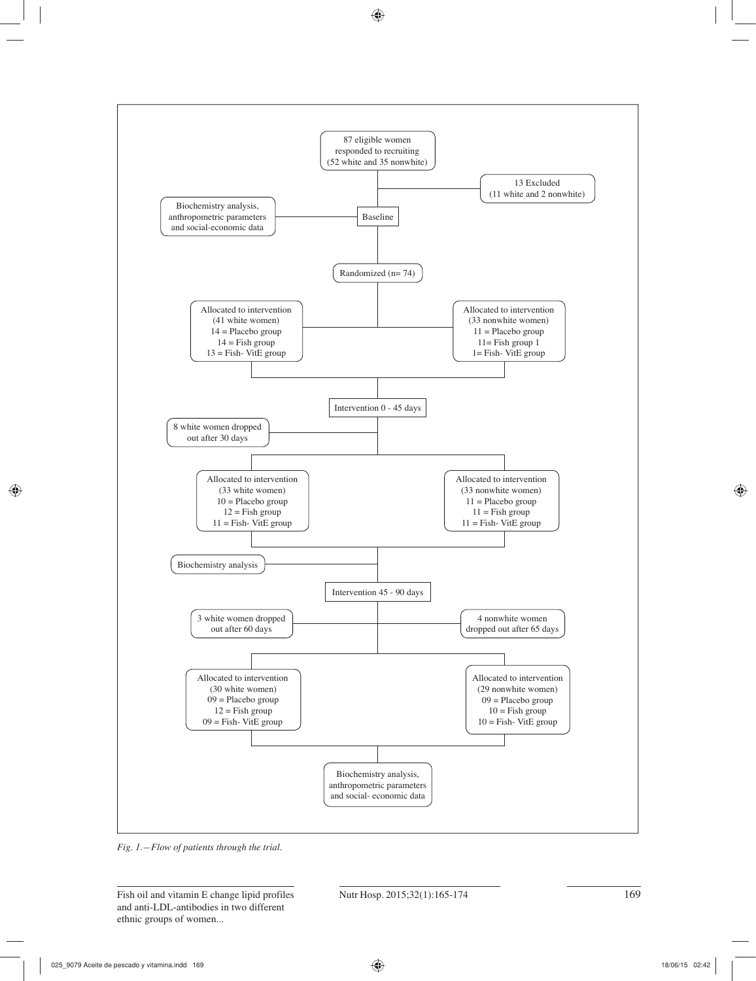

*Fig. 1.—Flow of patients through the trial.*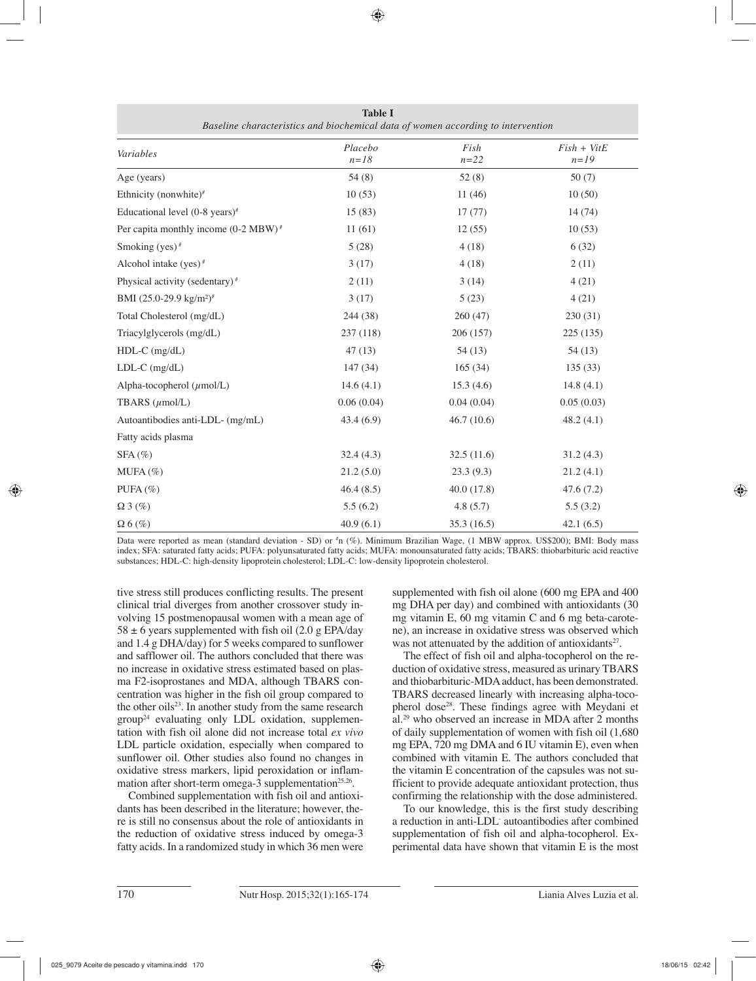| Variables                                       | Placebo<br>$n=18$ | Fish<br>$n = 22$ | $Fish + VitE$<br>$n=19$ |
|-------------------------------------------------|-------------------|------------------|-------------------------|
| Age (years)                                     | 54(8)             | 52(8)            | 50(7)                   |
| Ethnicity (nonwhite)#                           | 10(53)            | 11(46)           | 10(50)                  |
| Educational level $(0-8 \text{ years})^*$       | 15(83)            | 17(77)           | 14(74)                  |
| Per capita monthly income $(0-2 \text{ MBW})^*$ | 11(61)            | 12(55)           | 10(53)                  |
| Smoking (yes) $#$                               | 5(28)             | 4(18)            | 6(32)                   |
| Alcohol intake (yes) $#$                        | 3(17)             | 4(18)            | 2(11)                   |
| Physical activity (sedentary) $*$               | 2(11)             | 3(14)            | 4(21)                   |
| BMI (25.0-29.9 kg/m <sup>2)#</sup>              | 3(17)             | 5(23)            | 4(21)                   |
| Total Cholesterol (mg/dL)                       | 244 (38)          | 260(47)          | 230(31)                 |
| Triacylglycerols (mg/dL)                        | 237 (118)         | 206 (157)        | 225 (135)               |
| $HDL-C$ (mg/dL)                                 | 47(13)            | 54(13)           | 54(13)                  |
| $LDL-C$ (mg/dL)                                 | 147 (34)          | 165(34)          | 135(33)                 |
| Alpha-tocopherol $(\mu \text{mol/L})$           | 14.6(4.1)         | 15.3(4.6)        | 14.8(4.1)               |
| TBARS $(\mu$ mol/L)                             | 0.06(0.04)        | 0.04(0.04)       | 0.05(0.03)              |
| Autoantibodies anti-LDL- (mg/mL)                | 43.4(6.9)         | 46.7(10.6)       | 48.2(4.1)               |
| Fatty acids plasma                              |                   |                  |                         |
| $SFA(\%)$                                       | 32.4(4.3)         | 32.5(11.6)       | 31.2(4.3)               |
| $MUFA (\%)$                                     | 21.2(5.0)         | 23.3(9.3)        | 21.2(4.1)               |
| PUFA $(\%)$                                     | 46.4(8.5)         | 40.0(17.8)       | 47.6(7.2)               |
| $\Omega$ 3 (%)                                  | 5.5(6.2)          | 4.8(5.7)         | 5.5(3.2)                |
| $\Omega$ 6 (%)                                  | 40.9(6.1)         | 35.3(16.5)       | 42.1(6.5)               |

**Table I**  *Baseline characteristics and biochemical data of women according to intervention*

Data were reported as mean (standard deviation - SD) or <sup>#</sup>n (%). Minimum Brazilian Wage, (1 MBW approx. US\$200); BMI: Body mass index; SFA: saturated fatty acids; PUFA: polyunsaturated fatty acids; MUFA: monounsaturated fatty acids; TBARS: thiobarbituric acid reactive substances; HDL-C: high-density lipoprotein cholesterol; LDL-C: low-density lipoprotein cholesterol.

tive stress still produces conflicting results. The present clinical trial diverges from another crossover study involving 15 postmenopausal women with a mean age of  $58 \pm 6$  years supplemented with fish oil (2.0 g EPA/day and 1.4 g DHA/day) for 5 weeks compared to sunflower and safflower oil. The authors concluded that there was no increase in oxidative stress estimated based on plasma F2-isoprostanes and MDA, although TBARS concentration was higher in the fish oil group compared to the other oils<sup>23</sup>. In another study from the same research group24 evaluating only LDL oxidation, supplementation with fish oil alone did not increase total *ex vivo* LDL particle oxidation, especially when compared to sunflower oil. Other studies also found no changes in oxidative stress markers, lipid peroxidation or inflammation after short-term omega-3 supplementation<sup>25,26</sup>.

Combined supplementation with fish oil and antioxidants has been described in the literature; however, there is still no consensus about the role of antioxidants in the reduction of oxidative stress induced by omega-3 fatty acids. In a randomized study in which 36 men were

supplemented with fish oil alone (600 mg EPA and 400 mg DHA per day) and combined with antioxidants (30 mg vitamin E, 60 mg vitamin C and 6 mg beta-carotene), an increase in oxidative stress was observed which was not attenuated by the addition of antioxidants<sup>27</sup>.

The effect of fish oil and alpha-tocopherol on the reduction of oxidative stress, measured as urinary TBARS and thiobarbituric-MDA adduct, has been demonstrated. TBARS decreased linearly with increasing alpha-tocopherol dose<sup>28</sup>. These findings agree with Meydani et al.29 who observed an increase in MDA after 2 months of daily supplementation of women with fish oil (1,680 mg EPA, 720 mg DMA and 6 IU vitamin E), even when combined with vitamin E. The authors concluded that the vitamin E concentration of the capsules was not sufficient to provide adequate antioxidant protection, thus confirming the relationship with the dose administered.

To our knowledge, this is the first study describing a reduction in anti-LDL- autoantibodies after combined supplementation of fish oil and alpha-tocopherol. Experimental data have shown that vitamin E is the most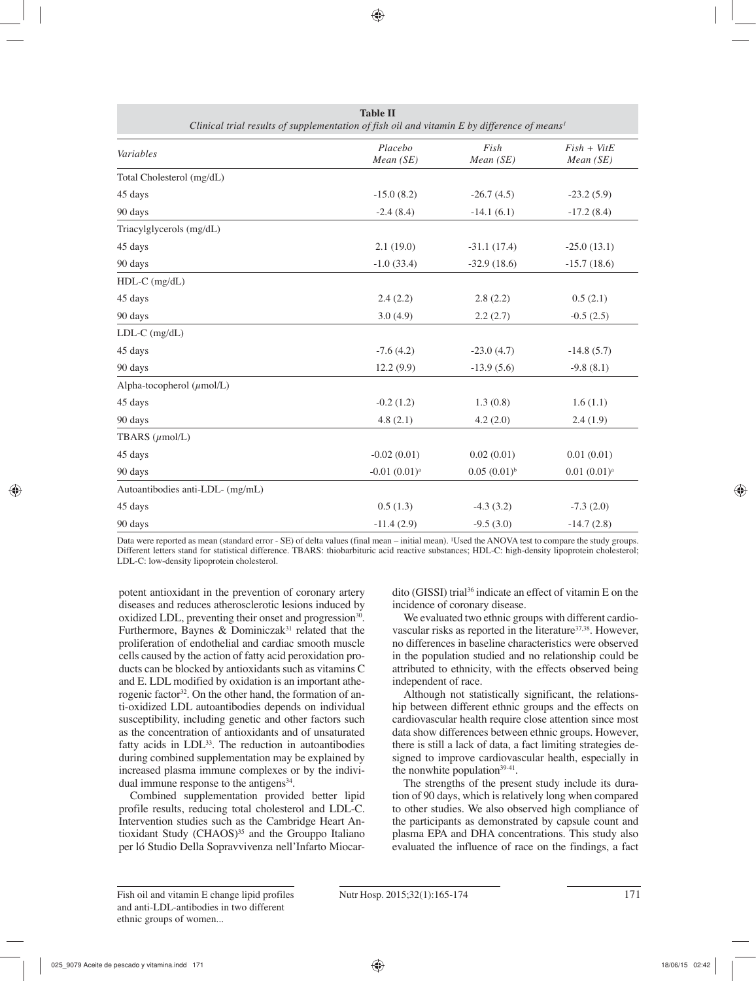| Clinical trial results of supplementation of fish oil and vitamin E by difference of means <sup>1</sup> |                      |                   |                            |
|---------------------------------------------------------------------------------------------------------|----------------------|-------------------|----------------------------|
| Variables                                                                                               | Placebo<br>Mean (SE) | Fish<br>Mean (SE) | $Fish + VitE$<br>Mean (SE) |
| Total Cholesterol (mg/dL)                                                                               |                      |                   |                            |
| 45 days                                                                                                 | $-15.0(8.2)$         | $-26.7(4.5)$      | $-23.2(5.9)$               |
| 90 days                                                                                                 | $-2.4(8.4)$          | $-14.1(6.1)$      | $-17.2(8.4)$               |
| Triacylglycerols (mg/dL)                                                                                |                      |                   |                            |
| 45 days                                                                                                 | 2.1(19.0)            | $-31.1(17.4)$     | $-25.0(13.1)$              |
| 90 days                                                                                                 | $-1.0(33.4)$         | $-32.9(18.6)$     | $-15.7(18.6)$              |
| $HDL-C$ (mg/dL)                                                                                         |                      |                   |                            |
| 45 days                                                                                                 | 2.4(2.2)             | 2.8(2.2)          | 0.5(2.1)                   |
| 90 days                                                                                                 | 3.0(4.9)             | 2.2(2.7)          | $-0.5(2.5)$                |
| $LDL-C$ (mg/dL)                                                                                         |                      |                   |                            |
| 45 days                                                                                                 | $-7.6(4.2)$          | $-23.0(4.7)$      | $-14.8(5.7)$               |
| 90 days                                                                                                 | 12.2(9.9)            | $-13.9(5.6)$      | $-9.8(8.1)$                |
| Alpha-tocopherol $(\mu$ mol/L)                                                                          |                      |                   |                            |
| 45 days                                                                                                 | $-0.2(1.2)$          | 1.3(0.8)          | 1.6(1.1)                   |
| 90 days                                                                                                 | 4.8(2.1)             | 4.2(2.0)          | 2.4(1.9)                   |
| TBARS $(\mu$ mol/L)                                                                                     |                      |                   |                            |
| 45 days                                                                                                 | $-0.02(0.01)$        | 0.02(0.01)        | 0.01(0.01)                 |
| 90 days                                                                                                 | $-0.01(0.01)^a$      | $0.05(0.01)^{b}$  | $0.01(0.01)^a$             |
| Autoantibodies anti-LDL- (mg/mL)                                                                        |                      |                   |                            |
| 45 days                                                                                                 | 0.5(1.3)             | $-4.3(3.2)$       | $-7.3(2.0)$                |
| 90 days                                                                                                 | $-11.4(2.9)$         | $-9.5(3.0)$       | $-14.7(2.8)$               |

**Table II** 

Data were reported as mean (standard error - SE) of delta values (final mean – initial mean). <sup>1</sup>Used the ANOVA test to compare the study groups. Different letters stand for statistical difference. TBARS: thiobarbituric acid reactive substances; HDL-C: high-density lipoprotein cholesterol; LDL-C: low-density lipoprotein cholesterol.

potent antioxidant in the prevention of coronary artery diseases and reduces atherosclerotic lesions induced by oxidized LDL, preventing their onset and progression<sup>30</sup>. Furthermore, Baynes & Dominiczak<sup>31</sup> related that the proliferation of endothelial and cardiac smooth muscle cells caused by the action of fatty acid peroxidation products can be blocked by antioxidants such as vitamins C and E. LDL modified by oxidation is an important atherogenic factor<sup>32</sup>. On the other hand, the formation of anti-oxidized LDL autoantibodies depends on individual susceptibility, including genetic and other factors such as the concentration of antioxidants and of unsaturated fatty acids in  $LDL<sup>33</sup>$ . The reduction in autoantibodies during combined supplementation may be explained by increased plasma immune complexes or by the individual immune response to the antigens $34$ .

Combined supplementation provided better lipid profile results, reducing total cholesterol and LDL-C. Intervention studies such as the Cambridge Heart Antioxidant Study  $(CHAOS)^{35}$  and the Grouppo Italiano per ló Studio Della Sopravvivenza nell'Infarto Miocardito (GISSI) trial<sup>36</sup> indicate an effect of vitamin E on the incidence of coronary disease.

We evaluated two ethnic groups with different cardiovascular risks as reported in the literature<sup>37,38</sup>. However, no differences in baseline characteristics were observed in the population studied and no relationship could be attributed to ethnicity, with the effects observed being independent of race.

Although not statistically significant, the relationship between different ethnic groups and the effects on cardiovascular health require close attention since most data show differences between ethnic groups. However, there is still a lack of data, a fact limiting strategies designed to improve cardiovascular health, especially in the nonwhite population $39-41$ .

The strengths of the present study include its duration of 90 days, which is relatively long when compared to other studies. We also observed high compliance of the participants as demonstrated by capsule count and plasma EPA and DHA concentrations. This study also evaluated the influence of race on the findings, a fact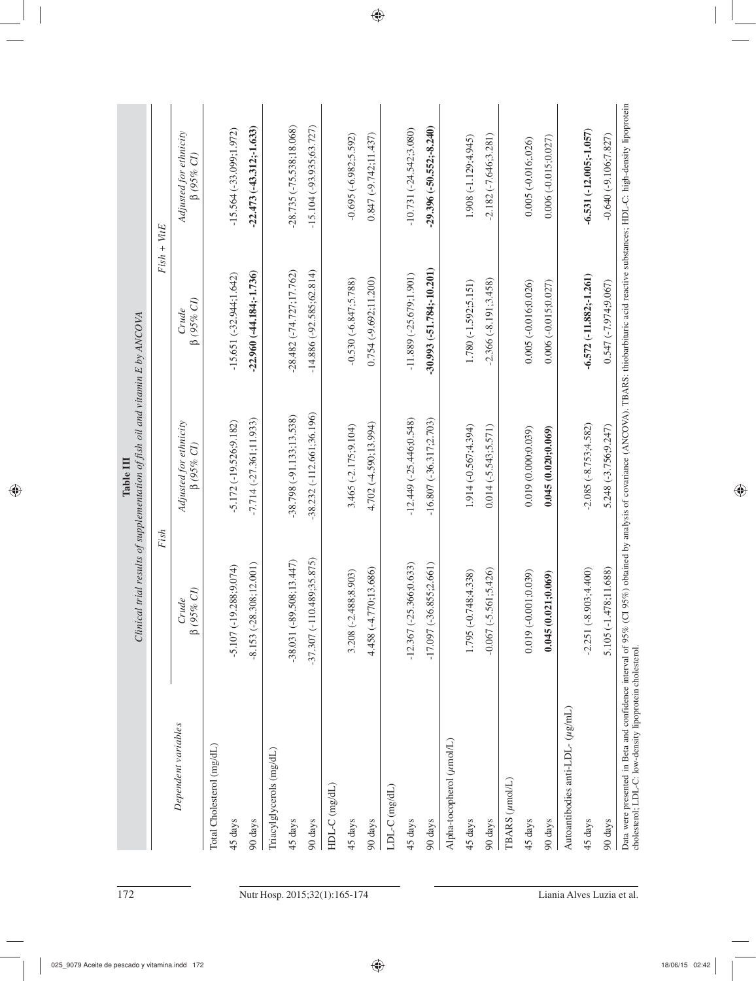|                                              |                                | Fish                                       | $Fish + VitE$               |                                            |
|----------------------------------------------|--------------------------------|--------------------------------------------|-----------------------------|--------------------------------------------|
| Dependent variables                          | $\beta$ (95% CI)<br>Crude      | Adjusted for ethnicity<br>$\beta$ (95% CI) | $\beta$ (95% CI)<br>Crude   | Adjusted for ethnicity<br>$\beta$ (95% CI) |
| Total Cholesterol (mg/dL)                    |                                |                                            |                             |                                            |
| 45 days                                      | (.288; 9.074)<br>$-5.107(-19)$ | $-5.172(-19.526; 9.182)$                   | $-15.651(-32.944;1.642)$    | $-15.564(-33.099; 1.972)$                  |
| 90 days                                      | .308;12.001)<br>$-8.153(-28$   | $-7.714(-27.361;11.933)$                   | $-22.960(-44.184; -1.736)$  | $-22.473(-43.312;-1.633)$                  |
| Triacylglycerols (mg/dL)                     |                                |                                            |                             |                                            |
| 45 days                                      | .508; 13.447<br>$-38.031(-89)$ | $-38.798(-91.133;13.538)$                  | $-28.482(-74.727;17.762)$   | $-28.735(-75.538;18.068)$                  |
| 90 days                                      | $-37.307(-110.489; 35.875)$    | $-38.232(-112.661;36.196)$                 | $-14.886(-92.585; 62.814)$  | $-15.104(-93.935;63.727)$                  |
| HDL-C (mg/dL)                                |                                |                                            |                             |                                            |
| 45 days                                      | 488;8.903)<br>$3.208(-2.$      | 3.465 (-2.175;9.104)                       | $-0.530(-6.847; 5.788)$     | $-0.695 (-6.982; 5.592)$                   |
| 90 days                                      | 4.458 (-4.770;13.686)          | 4.702 (-4.590;13.994)                      | $0.754(-9.692; 11.200)$     | $0.847(-9.742:11.437)$                     |
| LDL-C (mg/dL)                                |                                |                                            |                             |                                            |
| 45 days                                      | $-12.367(-25.366;0.633)$       | $-12.449(-25.446;0.548)$                   | $-11.889(-25.679, 1.901)$   | $-10.731(-24.542;3.080)$                   |
| 90 days                                      | $-17.097(-36.855;2.661)$       | $-16.807$ $(-36.317;2.703)$                | $-30.993(-51.784; -10.201)$ | $-29.396(-50.552,-8.240)$                  |
| Alpha-tocopherol (umol/L)                    |                                |                                            |                             |                                            |
| 45 days                                      | 1.795 (-0.748;4.338)           | 1.914 (-0.567;4.394)                       | $1.780(-1.592; 5.151)$      | 1.908 (-1.129;4.945)                       |
| 90 days                                      | 561;5.426)<br>$-0.067(-5)$     | $0.014 (-5.543; 5.571)$                    | $-2.366(-8.191;3.458)$      | $-2.182(-7.646; 3.281)$                    |
| TBARS (µmol/L)                               |                                |                                            |                             |                                            |
| 45 days                                      | $0.019(-0.001;0.039)$          | 0.019(0.000;0.039)                         | $0.005(-0.016;0.026)$       | $0.005 (-0.016; 026)$                      |
| 90 days                                      | 0.045(0.021;0.069)             | 0.045(0.020;0.069)                         | $0.006(-0.015;0.027)$       | $0.006(-0.015;0.027)$                      |
| Autoantibodies anti-LDL- $(\mu g/\text{mL})$ |                                |                                            |                             |                                            |
| 45 days                                      | $-2.251(-8.903;4.400)$         | $-2.085(-8.753;4.582)$                     | $-6.572(-11.882; -1.261)$   | $-6.531(-12.005; -1.057)$                  |
| 90 days                                      | 5.105 (-1.478;11.688)          | 5.248 (-3.756;9.247)                       | 0.547 (-7.974;9.067)        | $-0.640(-9.106; 7.827)$                    |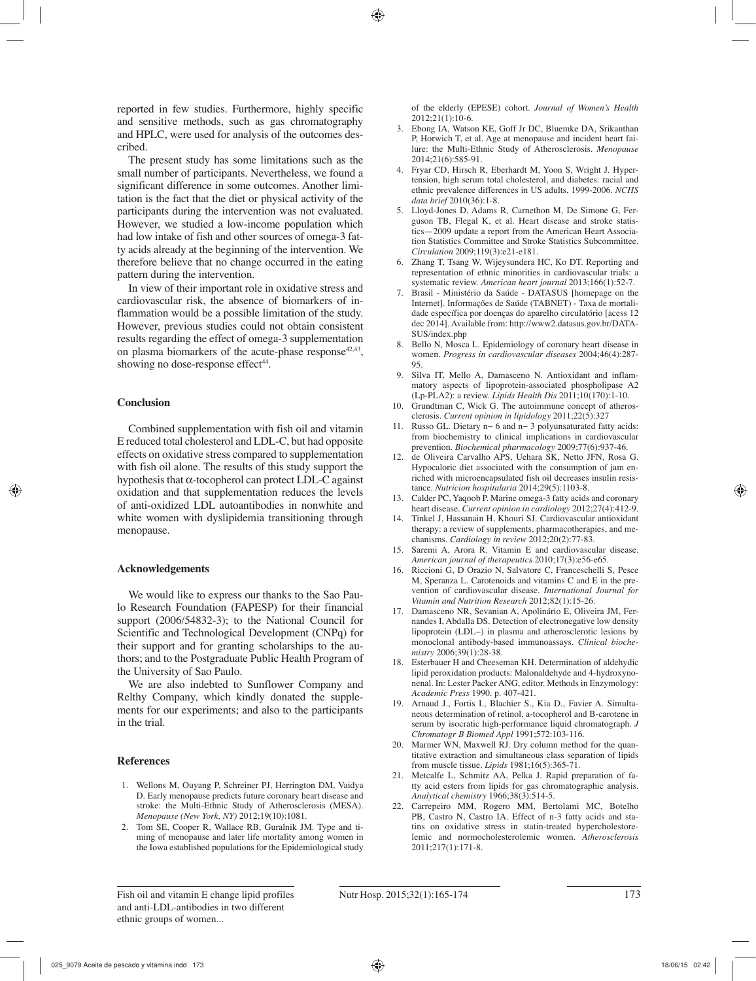reported in few studies. Furthermore, highly specific and sensitive methods, such as gas chromatography and HPLC, were used for analysis of the outcomes described.

The present study has some limitations such as the small number of participants. Nevertheless, we found a significant difference in some outcomes. Another limitation is the fact that the diet or physical activity of the participants during the intervention was not evaluated. However, we studied a low-income population which had low intake of fish and other sources of omega-3 fatty acids already at the beginning of the intervention. We therefore believe that no change occurred in the eating pattern during the intervention.

In view of their important role in oxidative stress and cardiovascular risk, the absence of biomarkers of inflammation would be a possible limitation of the study. However, previous studies could not obtain consistent results regarding the effect of omega-3 supplementation on plasma biomarkers of the acute-phase response  $42,43$ , showing no dose-response effect<sup>44</sup>.

#### **Conclusion**

Combined supplementation with fish oil and vitamin E reduced total cholesterol and LDL-C, but had opposite effects on oxidative stress compared to supplementation with fish oil alone. The results of this study support the hypothesis that α-tocopherol can protect LDL-C against oxidation and that supplementation reduces the levels of anti-oxidized LDL autoantibodies in nonwhite and white women with dyslipidemia transitioning through menopause.

#### **Acknowledgements**

We would like to express our thanks to the Sao Paulo Research Foundation (FAPESP) for their financial support (2006/54832-3); to the National Council for Scientific and Technological Development (CNPq) for their support and for granting scholarships to the authors; and to the Postgraduate Public Health Program of the University of Sao Paulo.

We are also indebted to Sunflower Company and Relthy Company, which kindly donated the supplements for our experiments; and also to the participants in the trial.

#### **References**

- 1. Wellons M, Ouyang P, Schreiner PJ, Herrington DM, Vaidya D. Early menopause predicts future coronary heart disease and stroke: the Multi-Ethnic Study of Atherosclerosis (MESA). *Menopause (New York, NY)* 2012;19(10):1081.
- 2. Tom SE, Cooper R, Wallace RB, Guralnik JM. Type and timing of menopause and later life mortality among women in the Iowa established populations for the Epidemiological study

of the elderly (EPESE) cohort. *Journal of Women's Health*  2012;21(1):10-6.

- 3. Ebong IA, Watson KE, Goff Jr DC, Bluemke DA, Srikanthan P, Horwich T, et al. Age at menopause and incident heart failure: the Multi-Ethnic Study of Atherosclerosis. *Menopause*  2014;21(6):585-91.
- 4. Fryar CD, Hirsch R, Eberhardt M, Yoon S, Wright J. Hypertension, high serum total cholesterol, and diabetes: racial and ethnic prevalence differences in US adults, 1999-2006. *NCHS data brief* 2010(36):1-8.
- 5. Lloyd-Jones D, Adams R, Carnethon M, De Simone G, Ferguson TB, Flegal K, et al. Heart disease and stroke statistics—2009 update a report from the American Heart Association Statistics Committee and Stroke Statistics Subcommittee. *Circulation* 2009;119(3):e21-e181.
- 6. Zhang T, Tsang W, Wijeysundera HC, Ko DT. Reporting and representation of ethnic minorities in cardiovascular trials: a systematic review. *American heart journal* 2013;166(1):52-7.
- 7. Brasil Ministério da Saúde DATASUS [homepage on the Internet]. Informações de Saúde (TABNET) - Taxa de mortalidade específica por doenças do aparelho circulatório [acess 12 dec 2014]. Available from: http://www2.datasus.gov.br/DATA-SUS/index.php
- 8. Bello N, Mosca L. Epidemiology of coronary heart disease in women. *Progress in cardiovascular diseases* 2004;46(4):287- 95.
- 9. Silva IT, Mello A, Damasceno N. Antioxidant and inflammatory aspects of lipoprotein-associated phospholipase A2 (Lp-PLA2): a review. *Lipids Health Dis* 2011;10(170):1-10.
- 10. Grundtman C, Wick G. The autoimmune concept of atherosclerosis. *Current opinion in lipidology* 2011;22(5):327
- 11. Russo GL. Dietary n− 6 and n− 3 polyunsaturated fatty acids: from biochemistry to clinical implications in cardiovascular prevention. *Biochemical pharmacology* 2009;77(6):937-46.
- 12. de Oliveira Carvalho APS, Uehara SK, Netto JFN, Rosa G. Hypocaloric diet associated with the consumption of jam enriched with microencapsulated fish oil decreases insulin resistance. *Nutricion hospitalaria* 2014;29(5):1103-8.
- 13. Calder PC, Yaqoob P. Marine omega-3 fatty acids and coronary heart disease. *Current opinion in cardiology* 2012;27(4):412-9.
- 14. Tinkel J, Hassanain H, Khouri SJ. Cardiovascular antioxidant therapy: a review of supplements, pharmacotherapies, and mechanisms. *Cardiology in review* 2012;20(2):77-83.
- 15. Saremi A, Arora R. Vitamin E and cardiovascular disease. *American journal of therapeutics* 2010;17(3):e56-e65.
- 16. Riccioni G, D Orazio N, Salvatore C, Franceschelli S, Pesce M, Speranza L. Carotenoids and vitamins C and E in the prevention of cardiovascular disease. *International Journal for Vitamin and Nutrition Research* 2012;82(1):15-26.
- 17. Damasceno NR, Sevanian A, Apolinário E, Oliveira JM, Fernandes I, Abdalla DS. Detection of electronegative low density lipoprotein (LDL−) in plasma and atherosclerotic lesions by monoclonal antibody-based immunoassays. *Clinical biochemistry* 2006;39(1):28-38.
- 18. Esterbauer H and Cheeseman KH. Determination of aldehydic lipid peroxidation products: Malonaldehyde and 4-hydroxynonenal. In: Lester Packer ANG, editor. Methods in Enzymology: *Academic Press* 1990. p. 407-421.
- 19. Arnaud J., Fortis I., Blachier S., Kia D., Favier A. Simultaneous determination of retinol, a-tocopherol and B-carotene in serum by isocratic high-performance liquid chromatograph. *J Chromatogr B Biomed Appl* 1991;572:103-116.
- 20. Marmer WN, Maxwell RJ. Dry column method for the quantitative extraction and simultaneous class separation of lipids from muscle tissue. *Lipids* 1981;16(5):365-71.
- 21. Metcalfe L, Schmitz AA, Pelka J. Rapid preparation of fatty acid esters from lipids for gas chromatographic analysis. *Analytical chemistry* 1966;38(3):514-5.
- 22. Carrepeiro MM, Rogero MM, Bertolami MC, Botelho PB, Castro N, Castro IA. Effect of n-3 fatty acids and statins on oxidative stress in statin-treated hypercholestorelemic and normocholesterolemic women. *Atherosclerosis*  2011;217(1):171-8.